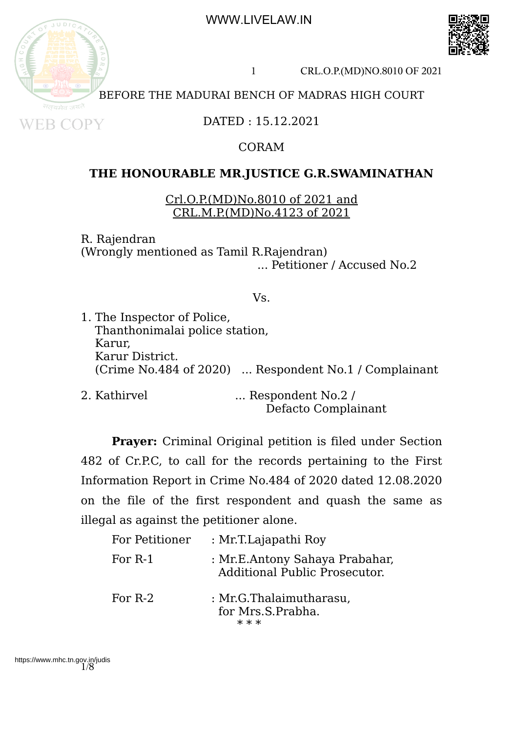

## BEFORE THE MADURAI BENCH OF MADRAS HIGH COURT

DATED : 15.12.2021

### CORAM

## **THE HONOURABLE MR.JUSTICE G.R.SWAMINATHAN**

Crl.O.P.(MD)No.8010 of 2021 and CRL.M.P.(MD)No.4123 of 2021

R. Rajendran (Wrongly mentioned as Tamil R.Rajendran) ... Petitioner / Accused No.2

#### Vs.

1. The Inspector of Police, Thanthonimalai police station, Karur, Karur District. (Crime No.484 of 2020) ... Respondent No.1 / Complainant

2. Kathirvel ... Respondent No.2 / Defacto Complainant

**Prayer:** Criminal Original petition is filed under Section 482 of Cr.P.C, to call for the records pertaining to the First Information Report in Crime No.484 of 2020 dated 12.08.2020 on the file of the first respondent and quash the same as illegal as against the petitioner alone.

| For Petitioner | : Mr.T.Lajapathi Roy                                                   |
|----------------|------------------------------------------------------------------------|
| For R-1        | : Mr.E.Antony Sahaya Prabahar,<br><b>Additional Public Prosecutor.</b> |
| For R-2        | : Mr.G.Thalaimutharasu,<br>for Mrs.S.Prabha.<br>$***$                  |



**WEB COPY**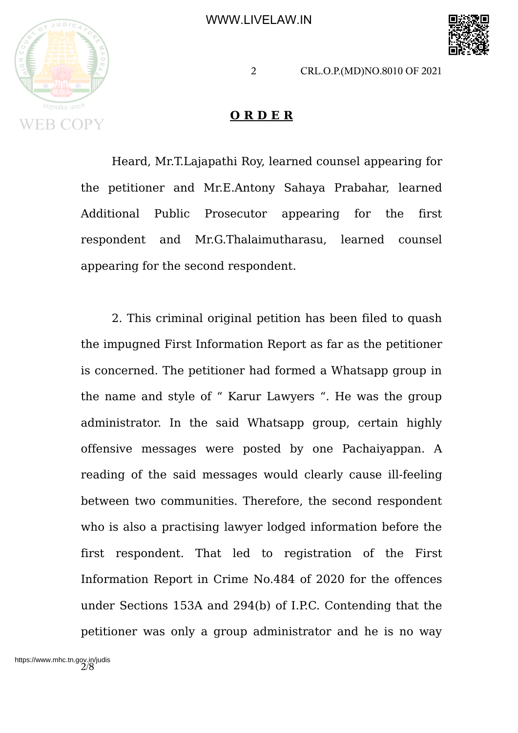

### **O R D E R**

Heard, Mr.T.Lajapathi Roy, learned counsel appearing for the petitioner and Mr.E.Antony Sahaya Prabahar, learned Additional Public Prosecutor appearing for the first respondent and Mr.G.Thalaimutharasu, learned counsel appearing for the second respondent.

2. This criminal original petition has been filed to quash the impugned First Information Report as far as the petitioner is concerned. The petitioner had formed a Whatsapp group in the name and style of " Karur Lawyers ". He was the group administrator. In the said Whatsapp group, certain highly offensive messages were posted by one Pachaiyappan. A reading of the said messages would clearly cause ill-feeling between two communities. Therefore, the second respondent who is also a practising lawyer lodged information before the first respondent. That led to registration of the First Information Report in Crime No.484 of 2020 for the offences under Sections 153A and 294(b) of I.P.C. Contending that the petitioner was only a group administrator and he is no way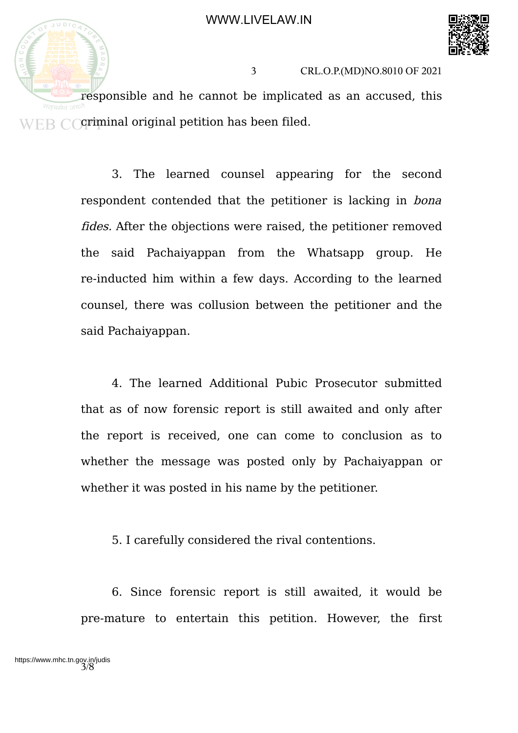

3 CRL.O.P.(MD)NO.8010 OF 2021 responsible and he cannot be implicated as an accused, this R Coriminal original petition has been filed.

> 3. The learned counsel appearing for the second respondent contended that the petitioner is lacking in bona fides. After the objections were raised, the petitioner removed the said Pachaiyappan from the Whatsapp group. He re-inducted him within a few days. According to the learned counsel, there was collusion between the petitioner and the said Pachaiyappan.

> 4. The learned Additional Pubic Prosecutor submitted that as of now forensic report is still awaited and only after the report is received, one can come to conclusion as to whether the message was posted only by Pachaiyappan or whether it was posted in his name by the petitioner.

5. I carefully considered the rival contentions.

6. Since forensic report is still awaited, it would be pre-mature to entertain this petition. However, the first

 $JUDIC$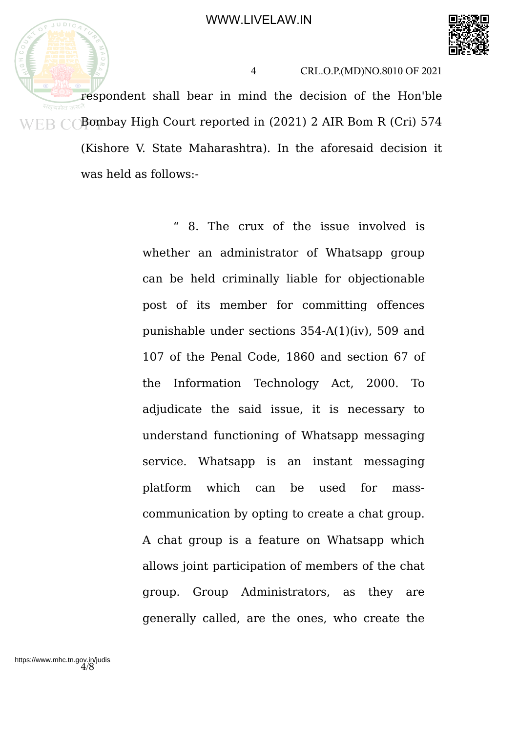

respondent shall bear in mind the decision of the Hon'ble  $\overline{BR}$   $\cap$  Bombay High Court reported in (2021) 2 AIR Bom R (Cri) 574 (Kishore V. State Maharashtra). In the aforesaid decision it was held as follows:-

> " 8. The crux of the issue involved is whether an administrator of Whatsapp group can be held criminally liable for objectionable post of its member for committing offences punishable under sections 354-A(1)(iv), 509 and 107 of the Penal Code, 1860 and section 67 of the Information Technology Act, 2000. To adjudicate the said issue, it is necessary to understand functioning of Whatsapp messaging service. Whatsapp is an instant messaging platform which can be used for masscommunication by opting to create a chat group. A chat group is a feature on Whatsapp which allows joint participation of members of the chat group. Group Administrators, as they are generally called, are the ones, who create the

 $JUDIC$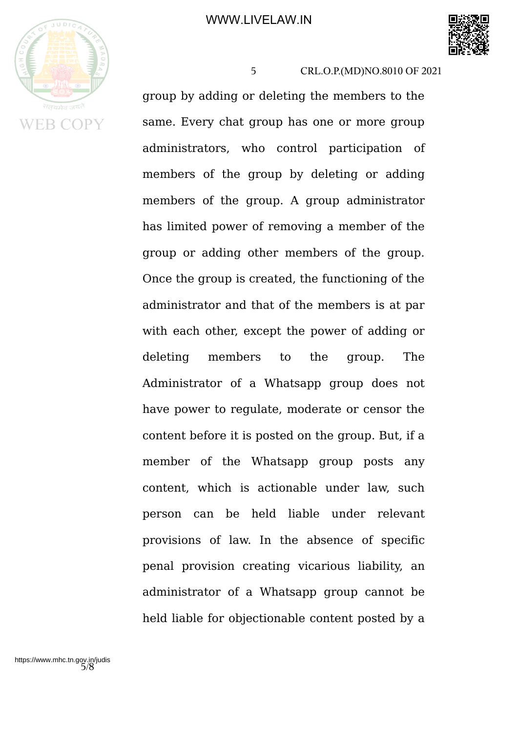

5 CRL.O.P.(MD)NO.8010 OF 2021 group by adding or deleting the members to the same. Every chat group has one or more group administrators, who control participation of members of the group by deleting or adding members of the group. A group administrator has limited power of removing a member of the group or adding other members of the group. Once the group is created, the functioning of the administrator and that of the members is at par with each other, except the power of adding or deleting members to the group. The Administrator of a Whatsapp group does not have power to regulate, moderate or censor the content before it is posted on the group. But, if a member of the Whatsapp group posts any content, which is actionable under law, such person can be held liable under relevant provisions of law. In the absence of specific

penal provision creating vicarious liability, an administrator of a Whatsapp group cannot be held liable for objectionable content posted by a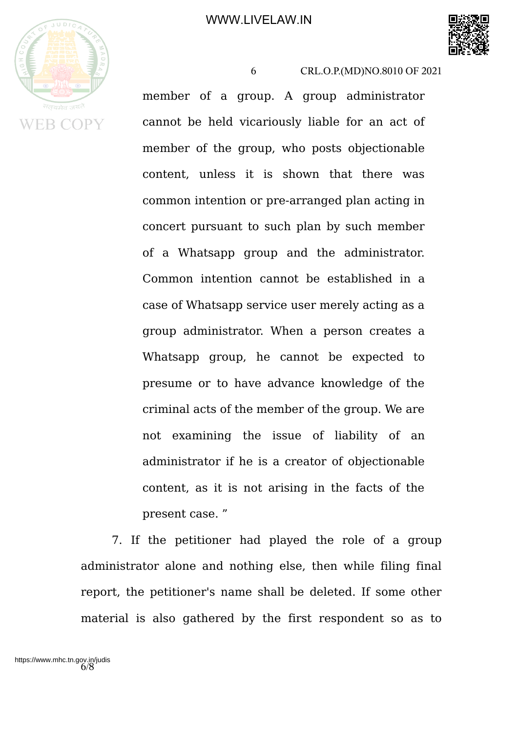![](_page_5_Picture_1.jpeg)

6 CRL.O.P.(MD)NO.8010 OF 2021 member of a group. A group administrator cannot be held vicariously liable for an act of member of the group, who posts objectionable content, unless it is shown that there was common intention or pre-arranged plan acting in concert pursuant to such plan by such member of a Whatsapp group and the administrator. Common intention cannot be established in a case of Whatsapp service user merely acting as a group administrator. When a person creates a Whatsapp group, he cannot be expected to presume or to have advance knowledge of the criminal acts of the member of the group. We are

not examining the issue of liability of an administrator if he is a creator of objectionable content, as it is not arising in the facts of the present case. "

7. If the petitioner had played the role of a group administrator alone and nothing else, then while filing final report, the petitioner's name shall be deleted. If some other material is also gathered by the first respondent so as to

https://www.mhc.tn.gov.in/judis<br>6/8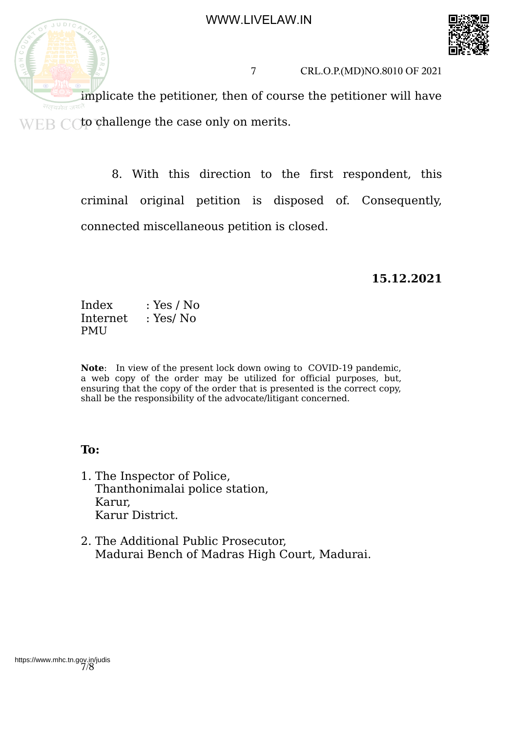7 CRL.O.P.(MD)NO.8010 OF 2021 implicate the petitioner, then of course the petitioner will have  $WER$   $\bigcap$  to challenge the case only on merits.

> 8. With this direction to the first respondent, this criminal original petition is disposed of. Consequently, connected miscellaneous petition is closed.

> > **15.12.2021**

Index : Yes / No Internet : Yes/ No **PMU** 

**Note**: In view of the present lock down owing to COVID-19 pandemic, a web copy of the order may be utilized for official purposes, but, ensuring that the copy of the order that is presented is the correct copy, shall be the responsibility of the advocate/litigant concerned.

### **To:**

- 1. The Inspector of Police, Thanthonimalai police station, Karur, Karur District.
- 2. The Additional Public Prosecutor, Madurai Bench of Madras High Court, Madurai.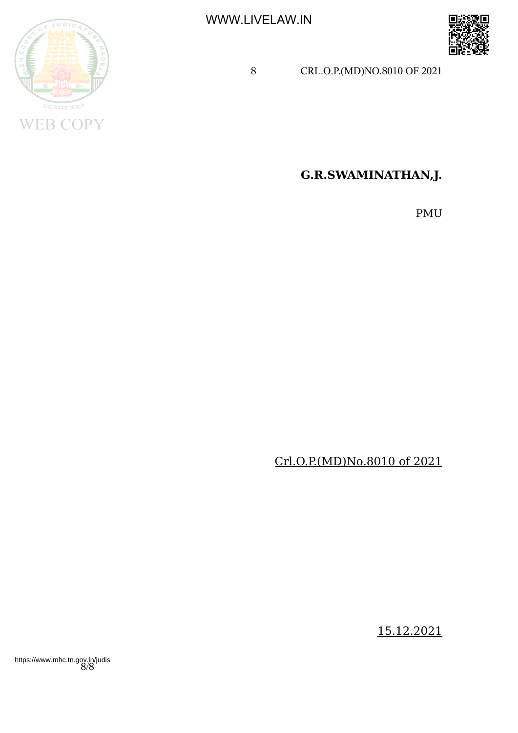![](_page_7_Picture_1.jpeg)

![](_page_7_Picture_2.jpeg)

# **G.R.SWAMINATHAN,J.**

PMU

Crl.O.P.(MD)No.8010 of 2021

15.12.2021

8/8 https://www.mhc.tn.gov.in/judis